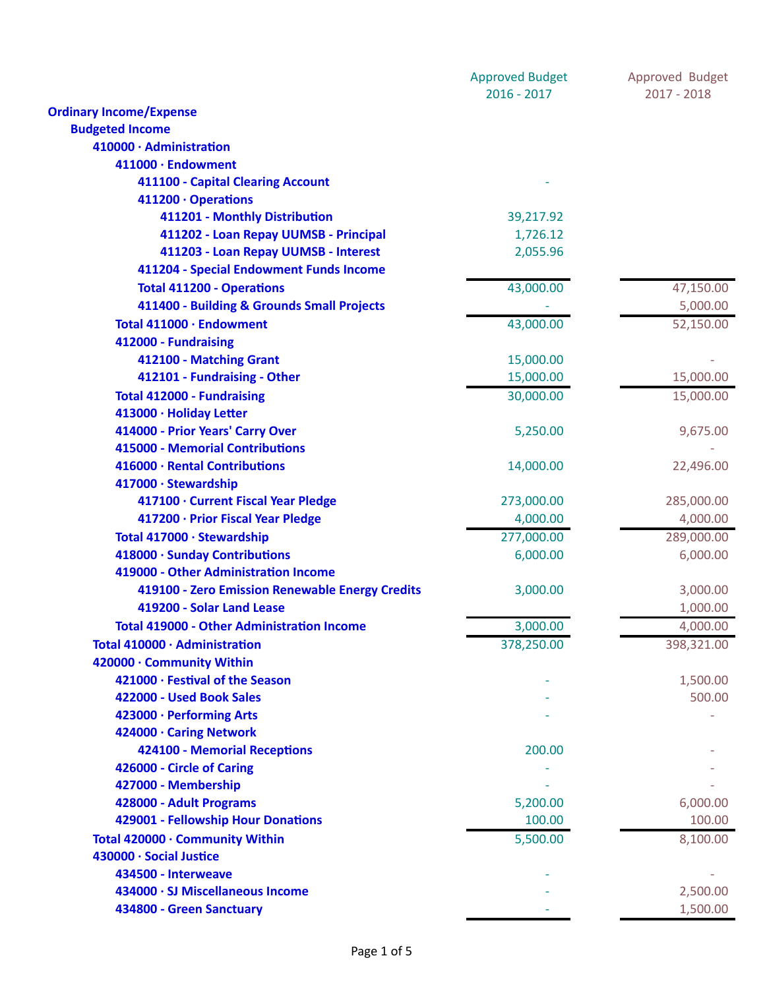|                                                   | <b>Approved Budget</b> | Approved Budget |
|---------------------------------------------------|------------------------|-----------------|
|                                                   | $2016 - 2017$          | $2017 - 2018$   |
| <b>Ordinary Income/Expense</b>                    |                        |                 |
| <b>Budgeted Income</b>                            |                        |                 |
| 410000 · Administration                           |                        |                 |
| 411000 · Endowment                                |                        |                 |
| 411100 - Capital Clearing Account                 |                        |                 |
| 411200 · Operations                               |                        |                 |
| 411201 - Monthly Distribution                     | 39,217.92              |                 |
| 411202 - Loan Repay UUMSB - Principal             | 1,726.12               |                 |
| 411203 - Loan Repay UUMSB - Interest              | 2,055.96               |                 |
| 411204 - Special Endowment Funds Income           |                        |                 |
| <b>Total 411200 - Operations</b>                  | 43,000.00              | 47,150.00       |
| 411400 - Building & Grounds Small Projects        |                        | 5,000.00        |
| Total 411000 · Endowment                          | 43,000.00              | 52,150.00       |
| 412000 - Fundraising                              |                        |                 |
| 412100 - Matching Grant                           | 15,000.00              |                 |
| 412101 - Fundraising - Other                      | 15,000.00              | 15,000.00       |
| <b>Total 412000 - Fundraising</b>                 | 30,000.00              | 15,000.00       |
| 413000 · Holiday Letter                           |                        |                 |
| 414000 - Prior Years' Carry Over                  | 5,250.00               | 9,675.00        |
| 415000 - Memorial Contributions                   |                        |                 |
| 416000 · Rental Contributions                     | 14,000.00              | 22,496.00       |
| 417000 · Stewardship                              |                        |                 |
| 417100 · Current Fiscal Year Pledge               | 273,000.00             | 285,000.00      |
| 417200 · Prior Fiscal Year Pledge                 | 4,000.00               | 4,000.00        |
| Total 417000 · Stewardship                        | 277,000.00             | 289,000.00      |
| 418000 · Sunday Contributions                     | 6,000.00               | 6,000.00        |
| 419000 - Other Administration Income              |                        |                 |
| 419100 - Zero Emission Renewable Energy Credits   | 3,000.00               | 3,000.00        |
| 419200 - Solar Land Lease                         |                        |                 |
|                                                   |                        | 1,000.00        |
| <b>Total 419000 - Other Administration Income</b> | 3,000.00               | 4,000.00        |
| Total 410000 · Administration                     | 378,250.00             | 398,321.00      |
| 420000 · Community Within                         |                        |                 |
| 421000 · Festival of the Season                   |                        | 1,500.00        |
| 422000 - Used Book Sales                          |                        | 500.00          |
| 423000 · Performing Arts                          |                        |                 |
| 424000 · Caring Network                           |                        |                 |
| 424100 - Memorial Receptions                      | 200.00                 |                 |
| 426000 - Circle of Caring                         |                        |                 |
| 427000 - Membership                               |                        |                 |
| 428000 - Adult Programs                           | 5,200.00               | 6,000.00        |
| 429001 - Fellowship Hour Donations                | 100.00                 | 100.00          |
| Total 420000 · Community Within                   | 5,500.00               | 8,100.00        |
| 430000 · Social Justice                           |                        |                 |
| 434500 - Interweave                               |                        |                 |
| 434000 · SJ Miscellaneous Income                  |                        | 2,500.00        |
| 434800 - Green Sanctuary                          |                        | 1,500.00        |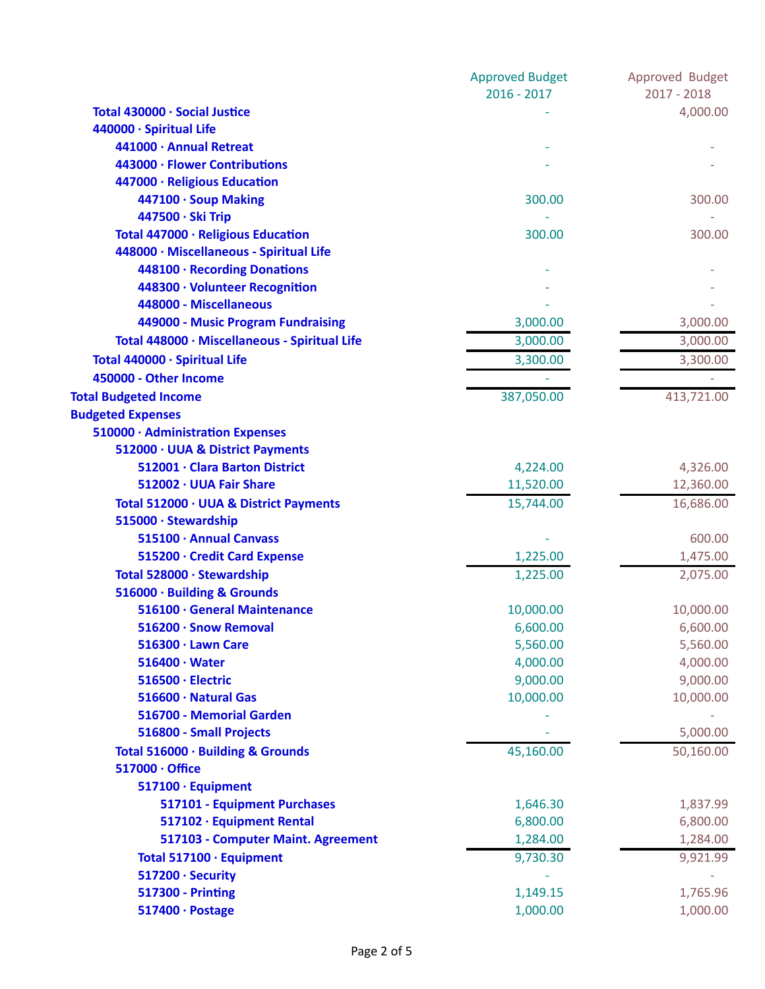|                                               | <b>Approved Budget</b> | Approved Budget |
|-----------------------------------------------|------------------------|-----------------|
|                                               | $2016 - 2017$          | $2017 - 2018$   |
| Total 430000 · Social Justice                 |                        | 4,000.00        |
| 440000 · Spiritual Life                       |                        |                 |
| 441000 · Annual Retreat                       |                        |                 |
| 443000 · Flower Contributions                 |                        |                 |
| 447000 · Religious Education                  |                        |                 |
| 447100 · Soup Making                          | 300.00                 | 300.00          |
| 447500 · Ski Trip                             |                        |                 |
| Total 447000 · Religious Education            | 300.00                 | 300.00          |
| 448000 · Miscellaneous - Spiritual Life       |                        |                 |
| 448100 · Recording Donations                  |                        |                 |
| 448300 · Volunteer Recognition                |                        |                 |
| 448000 - Miscellaneous                        |                        |                 |
| 449000 - Music Program Fundraising            | 3,000.00               | 3,000.00        |
| Total 448000 · Miscellaneous - Spiritual Life | 3,000.00               | 3,000.00        |
| Total 440000 · Spiritual Life                 | 3,300.00               | 3,300.00        |
| 450000 - Other Income                         |                        |                 |
| <b>Total Budgeted Income</b>                  | 387,050.00             | 413,721.00      |
| <b>Budgeted Expenses</b>                      |                        |                 |
| 510000 · Administration Expenses              |                        |                 |
| 512000 · UUA & District Payments              |                        |                 |
| 512001 · Clara Barton District                | 4,224.00               | 4,326.00        |
| 512002 · UUA Fair Share                       | 11,520.00              | 12,360.00       |
| Total 512000 · UUA & District Payments        | 15,744.00              | 16,686.00       |
| 515000 · Stewardship                          |                        |                 |
| 515100 · Annual Canvass                       |                        | 600.00          |
| 515200 · Credit Card Expense                  | 1,225.00               | 1,475.00        |
| Total 528000 · Stewardship                    | 1,225.00               | 2,075.00        |
| 516000 · Building & Grounds                   |                        |                 |
| 516100 · General Maintenance                  | 10,000.00              | 10,000.00       |
| 516200 · Snow Removal                         | 6,600.00               | 6,600.00        |
| 516300 · Lawn Care                            | 5,560.00               | 5,560.00        |
| $516400 \cdot Water$                          | 4,000.00               | 4,000.00        |
| 516500 · Electric                             | 9,000.00               | 9,000.00        |
| 516600 · Natural Gas                          | 10,000.00              | 10,000.00       |
| 516700 - Memorial Garden                      |                        |                 |
| 516800 - Small Projects                       |                        | 5,000.00        |
| Total 516000 · Building & Grounds             | 45,160.00              | 50,160.00       |
| 517000 · Office                               |                        |                 |
| 517100 · Equipment                            |                        |                 |
| 517101 - Equipment Purchases                  | 1,646.30               | 1,837.99        |
| 517102 · Equipment Rental                     | 6,800.00               | 6,800.00        |
| 517103 - Computer Maint. Agreement            | 1,284.00               | 1,284.00        |
| Total 517100 · Equipment                      | 9,730.30               | 9,921.99        |
| 517200 · Security                             |                        |                 |
| <b>517300 - Printing</b>                      | 1,149.15               | 1,765.96        |
| 517400 · Postage                              | 1,000.00               | 1,000.00        |
|                                               |                        |                 |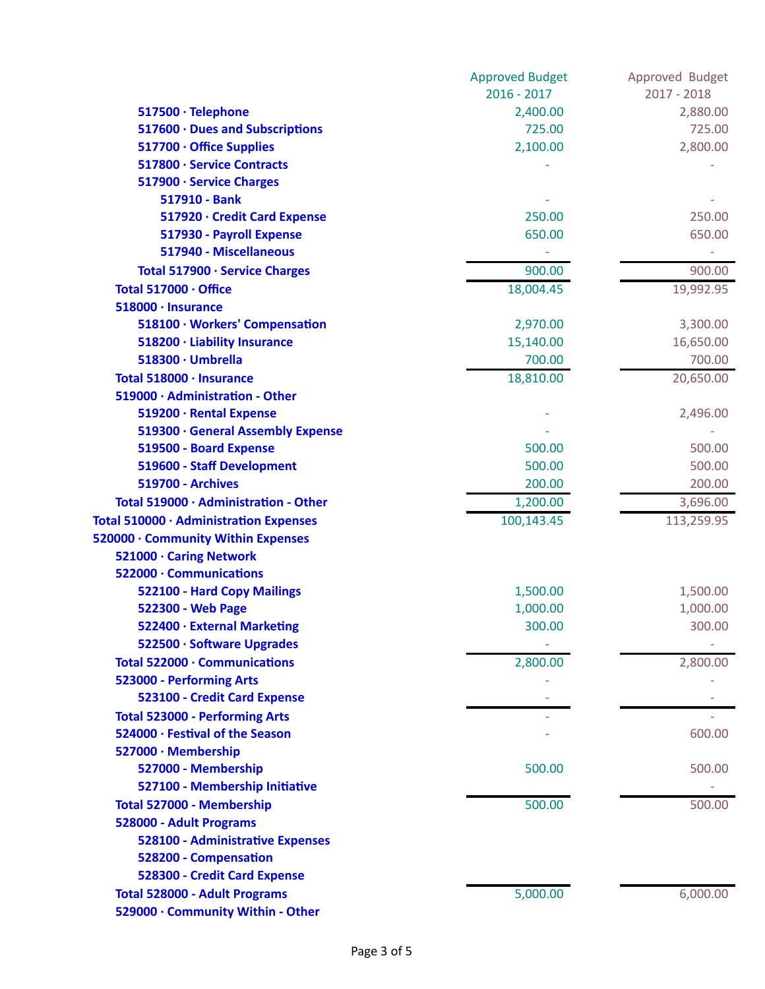|                                        | <b>Approved Budget</b> | Approved Budget |
|----------------------------------------|------------------------|-----------------|
|                                        | $2016 - 2017$          | $2017 - 2018$   |
| 517500 · Telephone                     | 2,400.00               | 2,880.00        |
| 517600 · Dues and Subscriptions        | 725.00                 | 725.00          |
| 517700 · Office Supplies               | 2,100.00               | 2,800.00        |
| 517800 · Service Contracts             |                        |                 |
| 517900 · Service Charges               |                        |                 |
| 517910 - Bank                          |                        |                 |
| 517920 · Credit Card Expense           | 250.00                 | 250.00          |
| 517930 - Payroll Expense               | 650.00                 | 650.00          |
| 517940 - Miscellaneous                 |                        |                 |
| Total 517900 · Service Charges         | 900.00                 | 900.00          |
| Total 517000 · Office                  | 18,004.45              | 19,992.95       |
| 518000 · Insurance                     |                        |                 |
| 518100 · Workers' Compensation         | 2,970.00               | 3,300.00        |
| 518200 · Liability Insurance           | 15,140.00              | 16,650.00       |
| 518300 · Umbrella                      | 700.00                 | 700.00          |
| Total 518000 · Insurance               | 18,810.00              | 20,650.00       |
| 519000 · Administration - Other        |                        |                 |
| 519200 · Rental Expense                |                        | 2,496.00        |
| 519300 · General Assembly Expense      |                        |                 |
| 519500 - Board Expense                 | 500.00                 | 500.00          |
| 519600 - Staff Development             | 500.00                 | 500.00          |
| <b>519700 - Archives</b>               | 200.00                 | 200.00          |
| Total 519000 · Administration - Other  | 1,200.00               | 3,696.00        |
| Total 510000 · Administration Expenses | 100,143.45             | 113,259.95      |
| 520000 · Community Within Expenses     |                        |                 |
| 521000 · Caring Network                |                        |                 |
| 522000 · Communications                |                        |                 |
| 522100 - Hard Copy Mailings            | 1,500.00               | 1,500.00        |
| 522300 - Web Page                      | 1,000.00               | 1,000.00        |
| 522400 · External Marketing            | 300.00                 | 300.00          |
| 522500 · Software Upgrades             |                        |                 |
| Total 522000 · Communications          | 2,800.00               | 2,800.00        |
| 523000 - Performing Arts               |                        |                 |
| 523100 - Credit Card Expense           |                        |                 |
| <b>Total 523000 - Performing Arts</b>  |                        |                 |
| 524000 · Festival of the Season        |                        | 600.00          |
| 527000 · Membership                    |                        |                 |
| 527000 - Membership                    | 500.00                 | 500.00          |
| 527100 - Membership Initiative         |                        |                 |
| Total 527000 - Membership              | 500.00                 | 500.00          |
| 528000 - Adult Programs                |                        |                 |
| 528100 - Administrative Expenses       |                        |                 |
| 528200 - Compensation                  |                        |                 |
| 528300 - Credit Card Expense           |                        |                 |
| <b>Total 528000 - Adult Programs</b>   | 5,000.00               | 6,000.00        |
| 529000 · Community Within - Other      |                        |                 |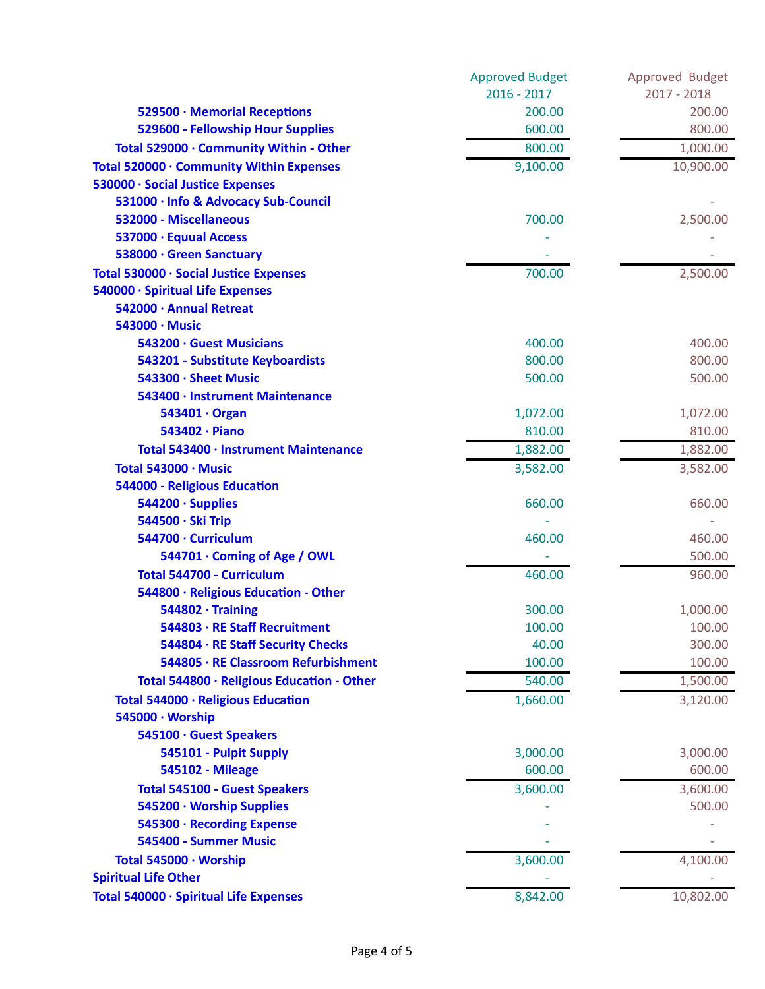|                                            | <b>Approved Budget</b> | Approved Budget |
|--------------------------------------------|------------------------|-----------------|
|                                            | $2016 - 2017$          | $2017 - 2018$   |
| 529500 · Memorial Receptions               | 200.00                 | 200.00          |
| 529600 - Fellowship Hour Supplies          | 600.00                 | 800.00          |
| Total 529000 · Community Within - Other    | 800.00                 | 1,000.00        |
| Total 520000 · Community Within Expenses   | 9,100.00               | 10,900.00       |
| 530000 · Social Justice Expenses           |                        |                 |
| 531000 · Info & Advocacy Sub-Council       |                        |                 |
| 532000 - Miscellaneous                     | 700.00                 | 2,500.00        |
| 537000 · Equual Access                     |                        |                 |
| 538000 · Green Sanctuary                   |                        |                 |
| Total 530000 · Social Justice Expenses     | 700.00                 | 2,500.00        |
| 540000 · Spiritual Life Expenses           |                        |                 |
| 542000 · Annual Retreat                    |                        |                 |
| 543000 · Music                             |                        |                 |
| 543200 · Guest Musicians                   | 400.00                 | 400.00          |
| 543201 - Substitute Keyboardists           | 800.00                 | 800.00          |
| 543300 · Sheet Music                       | 500.00                 | 500.00          |
| 543400 · Instrument Maintenance            |                        |                 |
| 543401 · Organ                             | 1,072.00               | 1,072.00        |
| 543402 · Piano                             | 810.00                 | 810.00          |
| Total 543400 · Instrument Maintenance      | 1,882.00               | 1,882.00        |
| Total 543000 · Music                       | 3,582.00               | 3,582.00        |
| 544000 - Religious Education               |                        |                 |
| 544200 · Supplies                          | 660.00                 | 660.00          |
| 544500 · Ski Trip                          |                        |                 |
| 544700 · Curriculum                        | 460.00                 | 460.00          |
| 544701 · Coming of Age / OWL               |                        | 500.00          |
| <b>Total 544700 - Curriculum</b>           | 460.00                 | 960.00          |
| 544800 · Religious Education - Other       |                        |                 |
| $544802 \cdot$ Training                    | 300.00                 | 1,000.00        |
| 544803 · RE Staff Recruitment              | 100.00                 | 100.00          |
| 544804 · RE Staff Security Checks          | 40.00                  | 300.00          |
| 544805 · RE Classroom Refurbishment        | 100.00                 | 100.00          |
| Total 544800 · Religious Education - Other | 540.00                 | 1,500.00        |
| Total 544000 · Religious Education         | 1,660.00               | 3,120.00        |
| 545000 · Worship                           |                        |                 |
| 545100 · Guest Speakers                    |                        |                 |
| 545101 - Pulpit Supply                     | 3,000.00               | 3,000.00        |
| <b>545102 - Mileage</b>                    | 600.00                 | 600.00          |
| <b>Total 545100 - Guest Speakers</b>       | 3,600.00               | 3,600.00        |
| 545200 · Worship Supplies                  |                        | 500.00          |
| 545300 · Recording Expense                 |                        |                 |
| 545400 - Summer Music                      |                        |                 |
| Total 545000 · Worship                     | 3,600.00               | 4,100.00        |
| <b>Spiritual Life Other</b>                |                        |                 |
| Total 540000 · Spiritual Life Expenses     | 8,842.00               | 10,802.00       |